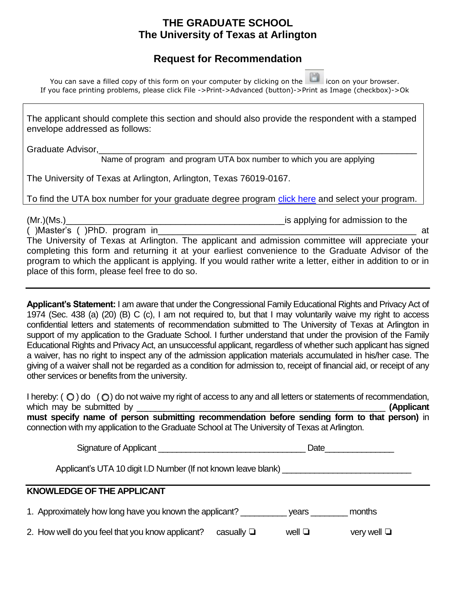## **THE GRADUATE SCHOOL The University of Texas at Arlington**

## **Request for Recommendation**

| You can save a filled copy of this form on your computer by clicking on the licon on your browser.         |  |
|------------------------------------------------------------------------------------------------------------|--|
| If you face printing problems, please click File ->Print->Advanced (button)->Print as Image (checkbox)->Ok |  |

The applicant should complete this section and should also provide the respondent with a stamped envelope addressed as follows:

Graduate Advisor,

Name of program and program UTA box number to which you are applying

The University of Texas at Arlington, Arlington, Texas 76019-0167.

To find the UTA box number for your graduate degree program [click here](http://grad.uta.edu/Prospective/Grad_degree_programs.asp) and select your program.

(Mr.)(Ms.)\_\_\_\_\_\_\_\_\_\_\_\_\_\_\_\_\_\_\_\_\_\_\_\_\_\_\_\_\_\_\_\_\_\_\_\_\_\_\_\_\_\_\_\_is applying for admission to the

( )Master's ( )PhD. program in\_\_\_\_\_\_\_\_\_\_\_\_\_\_\_\_\_\_\_\_\_\_\_\_\_\_\_\_\_\_\_\_\_\_\_\_\_\_\_\_\_\_\_\_\_\_\_\_\_\_\_\_ at The University of Texas at Arlington. The applicant and admission committee will appreciate your completing this form and returning it at your earliest convenience to the Graduate Advisor of the program to which the applicant is applying. If you would rather write a letter, either in addition to or in place of this form, please feel free to do so.

**Applicant's Statement:** I am aware that under the Congressional Family Educational Rights and Privacy Act of 1974 (Sec. 438 (a) (20) (B) C (c), I am not required to, but that I may voluntarily waive my right to access confidential letters and statements of recommendation submitted to The University of Texas at Arlington in support of my application to the Graduate School. I further understand that under the provision of the Family Educational Rights and Privacy Act, an unsuccessful applicant, regardless of whether such applicant has signed a waiver, has no right to inspect any of the admission application materials accumulated in his/her case. The giving of a waiver shall not be regarded as a condition for admission to, receipt of financial aid, or receipt of any other services or benefits from the university.

| I hereby: $( \circledcirc )$ do $( \circledcirc )$ do not waive my right of access to any and all letters or statements of recommendation, |            |
|--------------------------------------------------------------------------------------------------------------------------------------------|------------|
| which may be submitted by                                                                                                                  | (Applicant |
| must specify name of person submitting recommendation before sending form to that person) in                                               |            |
| connection with my application to the Graduate School at The University of Texas at Arlington.                                             |            |

Signature of Applicant **Executive Signature of Applicant** 

Applicant's UTA 10 digit I.D Number (If not known leave blank)

## **KNOWLEDGE OF THE APPLICANT**

1. Approximately how long have you known the applicant? \_\_\_\_\_\_\_\_\_\_ years \_\_\_\_\_\_\_\_ months

2. How well do you feel that you know applicant? casually ❏ well ❏ very well ❏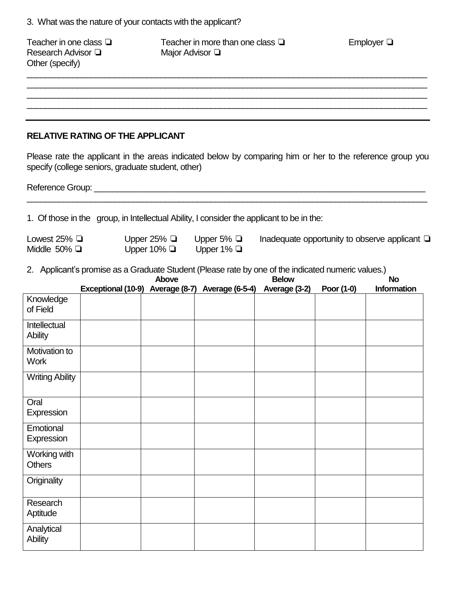| Teacher in one class $\Box$<br>Research Advisor $\square$<br>Other (specify) |                                                    |                                      | Teacher in more than one class $\Box$<br>Major Advisor Q                                                                                                             |              |            | Employer $\Box$                                                                                           |
|------------------------------------------------------------------------------|----------------------------------------------------|--------------------------------------|----------------------------------------------------------------------------------------------------------------------------------------------------------------------|--------------|------------|-----------------------------------------------------------------------------------------------------------|
|                                                                              |                                                    |                                      |                                                                                                                                                                      |              |            |                                                                                                           |
|                                                                              | <b>RELATIVE RATING OF THE APPLICANT</b>            |                                      |                                                                                                                                                                      |              |            |                                                                                                           |
|                                                                              | specify (college seniors, graduate student, other) |                                      |                                                                                                                                                                      |              |            | Please rate the applicant in the areas indicated below by comparing him or her to the reference group you |
|                                                                              |                                                    |                                      |                                                                                                                                                                      |              |            |                                                                                                           |
|                                                                              |                                                    |                                      | 1. Of those in the group, in Intellectual Ability, I consider the applicant to be in the:                                                                            |              |            |                                                                                                           |
| Lowest 25% $\Box$<br>Middle 50% $\Box$                                       |                                                    | Upper 25% $\Box$<br>Upper 10% $\Box$ | Upper 5% $\Box$<br>Upper 1% $\Box$                                                                                                                                   |              |            | Inadequate opportunity to observe applicant $\Box$                                                        |
|                                                                              |                                                    | Above                                | 2. Applicant's promise as a Graduate Student (Please rate by one of the indicated numeric values.)<br>Exceptional (10-9) Average (8-7) Average (6-5-4) Average (3-2) | <b>Below</b> | Poor (1-0) | <b>No</b><br><b>Information</b>                                                                           |
| Knowledge<br>of Field                                                        |                                                    |                                      |                                                                                                                                                                      |              |            |                                                                                                           |
| Intellectual<br><b>Ability</b>                                               |                                                    |                                      |                                                                                                                                                                      |              |            |                                                                                                           |
| Motivation to<br>Work                                                        |                                                    |                                      |                                                                                                                                                                      |              |            |                                                                                                           |
| <b>Writing Ability</b>                                                       |                                                    |                                      |                                                                                                                                                                      |              |            |                                                                                                           |
| Oral<br>Expression                                                           |                                                    |                                      |                                                                                                                                                                      |              |            |                                                                                                           |
| Emotional<br>Expression                                                      |                                                    |                                      |                                                                                                                                                                      |              |            |                                                                                                           |
| Working with<br><b>Others</b>                                                |                                                    |                                      |                                                                                                                                                                      |              |            |                                                                                                           |
| Originality                                                                  |                                                    |                                      |                                                                                                                                                                      |              |            |                                                                                                           |
| Research<br>Aptitude                                                         |                                                    |                                      |                                                                                                                                                                      |              |            |                                                                                                           |
| Analytical<br><b>Ability</b>                                                 |                                                    |                                      |                                                                                                                                                                      |              |            |                                                                                                           |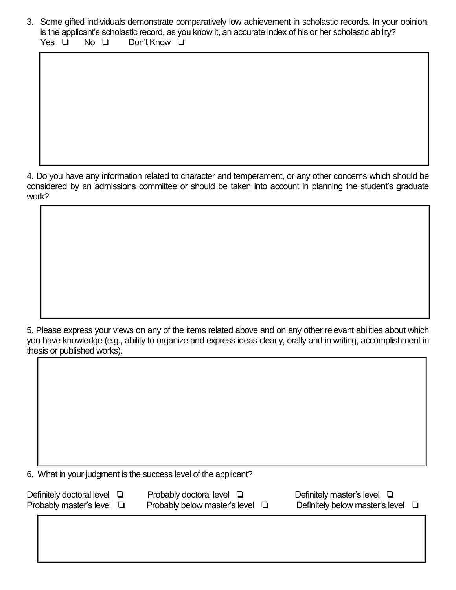3. Some gifted individuals demonstrate comparatively low achievement in scholastic records. In your opinion, is the applicant's scholastic record, as you know it, an accurate index of his or her scholastic ability? Yes **□** No **□** Don't Know **□** 

4. Do you have any information related to character and temperament, or any other concerns which should be considered by an admissions committee or should be taken into account in planning the student's graduate work?

5. Please express your views on any of the items related above and on any other relevant abilities about which you have knowledge (e.g., ability to organize and express ideas clearly, orally and in writing, accomplishment in thesis or published works).

6. What in your judgment is the success level of the applicant?

Definitely doctoral level  $\Box$  Probably doctoral level  $\Box$  Definitely master's level  $\Box$ 

Probably master's level <del>Q</del> Probably below master's level Q Definitely below master's level Q